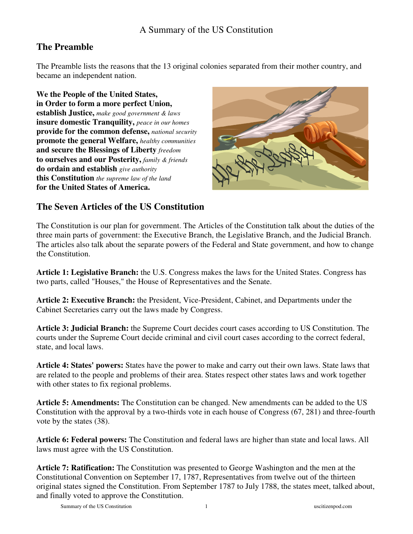### A Summary of the US Constitution

# **The Preamble**

The Preamble lists the reasons that the 13 original colonies separated from their mother country, and became an independent nation.

**We the People of the United States, in Order to form a more perfect Union, establish Justice,** *make good government & laws* **insure domestic Tranquility,** *peace in our homes* **provide for the common defense,** *national security* **promote the general Welfare,** *healthy communities* **and secure the Blessings of Liberty** *freedom* **to ourselves and our Posterity,** *family & friends* **do ordain and establish** *give authority* **this Constitution** *the supreme law of the land* **for the United States of America.** 



# **The Seven Articles of the US Constitution**

The Constitution is our plan for government. The Articles of the Constitution talk about the duties of the three main parts of government: the Executive Branch, the Legislative Branch, and the Judicial Branch. The articles also talk about the separate powers of the Federal and State government, and how to change the Constitution.

**Article 1: Legislative Branch:** the U.S. Congress makes the laws for the United States. Congress has two parts, called "Houses," the House of Representatives and the Senate.

**Article 2: Executive Branch:** the President, Vice-President, Cabinet, and Departments under the Cabinet Secretaries carry out the laws made by Congress.

**Article 3: Judicial Branch:** the Supreme Court decides court cases according to US Constitution. The courts under the Supreme Court decide criminal and civil court cases according to the correct federal, state, and local laws.

**Article 4: States' powers:** States have the power to make and carry out their own laws. State laws that are related to the people and problems of their area. States respect other states laws and work together with other states to fix regional problems.

**Article 5: Amendments:** The Constitution can be changed. New amendments can be added to the US Constitution with the approval by a two-thirds vote in each house of Congress (67, 281) and three-fourth vote by the states (38).

**Article 6: Federal powers:** The Constitution and federal laws are higher than state and local laws. All laws must agree with the US Constitution.

**Article 7: Ratification:** The Constitution was presented to George Washington and the men at the Constitutional Convention on September 17, 1787, Representatives from twelve out of the thirteen original states signed the Constitution. From September 1787 to July 1788, the states meet, talked about, and finally voted to approve the Constitution.